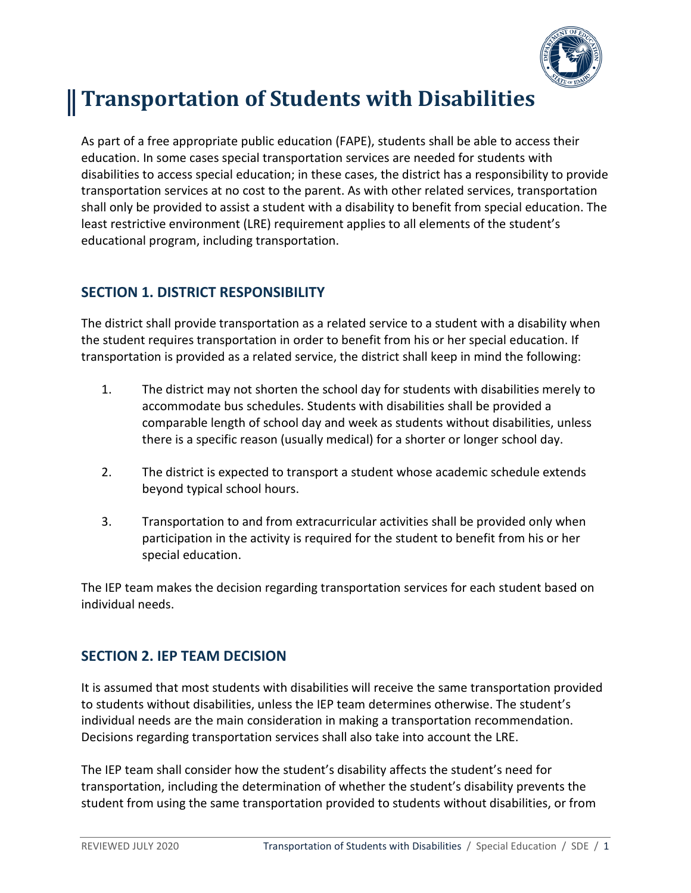

# **Transportation of Students with Disabilities**

As part of a free appropriate public education (FAPE), students shall be able to access their education. In some cases special transportation services are needed for students with disabilities to access special education; in these cases, the district has a responsibility to provide transportation services at no cost to the parent. As with other related services, transportation shall only be provided to assist a student with a disability to benefit from special education. The least restrictive environment (LRE) requirement applies to all elements of the student's educational program, including transportation.

## **SECTION 1. DISTRICT RESPONSIBILITY**

The district shall provide transportation as a related service to a student with a disability when the student requires transportation in order to benefit from his or her special education. If transportation is provided as a related service, the district shall keep in mind the following:

- 1. The district may not shorten the school day for students with disabilities merely to accommodate bus schedules. Students with disabilities shall be provided a comparable length of school day and week as students without disabilities, unless there is a specific reason (usually medical) for a shorter or longer school day.
- 2. The district is expected to transport a student whose academic schedule extends beyond typical school hours.
- 3. Transportation to and from extracurricular activities shall be provided only when participation in the activity is required for the student to benefit from his or her special education.

The IEP team makes the decision regarding transportation services for each student based on individual needs.

## **SECTION 2. IEP TEAM DECISION**

It is assumed that most students with disabilities will receive the same transportation provided to students without disabilities, unless the IEP team determines otherwise. The student's individual needs are the main consideration in making a transportation recommendation. Decisions regarding transportation services shall also take into account the LRE.

The IEP team shall consider how the student's disability affects the student's need for transportation, including the determination of whether the student's disability prevents the student from using the same transportation provided to students without disabilities, or from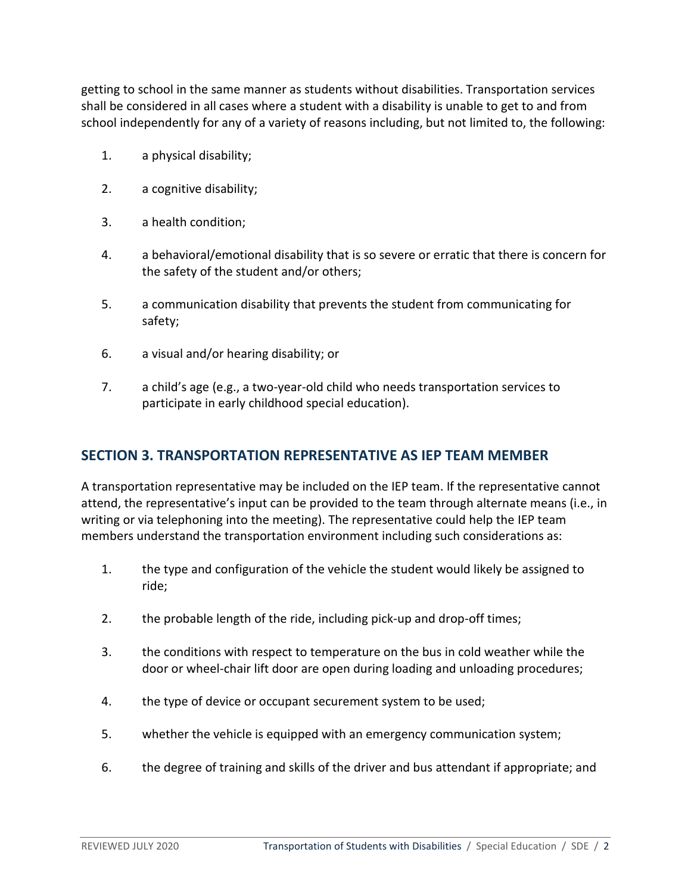getting to school in the same manner as students without disabilities. Transportation services shall be considered in all cases where a student with a disability is unable to get to and from school independently for any of a variety of reasons including, but not limited to, the following:

- 1. a physical disability;
- 2. a cognitive disability;
- 3. a health condition;
- 4. a behavioral/emotional disability that is so severe or erratic that there is concern for the safety of the student and/or others;
- 5. a communication disability that prevents the student from communicating for safety;
- 6. a visual and/or hearing disability; or
- 7. a child's age (e.g., a two-year-old child who needs transportation services to participate in early childhood special education).

#### **SECTION 3. TRANSPORTATION REPRESENTATIVE AS IEP TEAM MEMBER**

A transportation representative may be included on the IEP team. If the representative cannot attend, the representative's input can be provided to the team through alternate means (i.e., in writing or via telephoning into the meeting). The representative could help the IEP team members understand the transportation environment including such considerations as:

- 1. the type and configuration of the vehicle the student would likely be assigned to ride;
- 2. the probable length of the ride, including pick-up and drop-off times;
- 3. the conditions with respect to temperature on the bus in cold weather while the door or wheel-chair lift door are open during loading and unloading procedures;
- 4. the type of device or occupant securement system to be used;
- 5. whether the vehicle is equipped with an emergency communication system;
- 6. the degree of training and skills of the driver and bus attendant if appropriate; and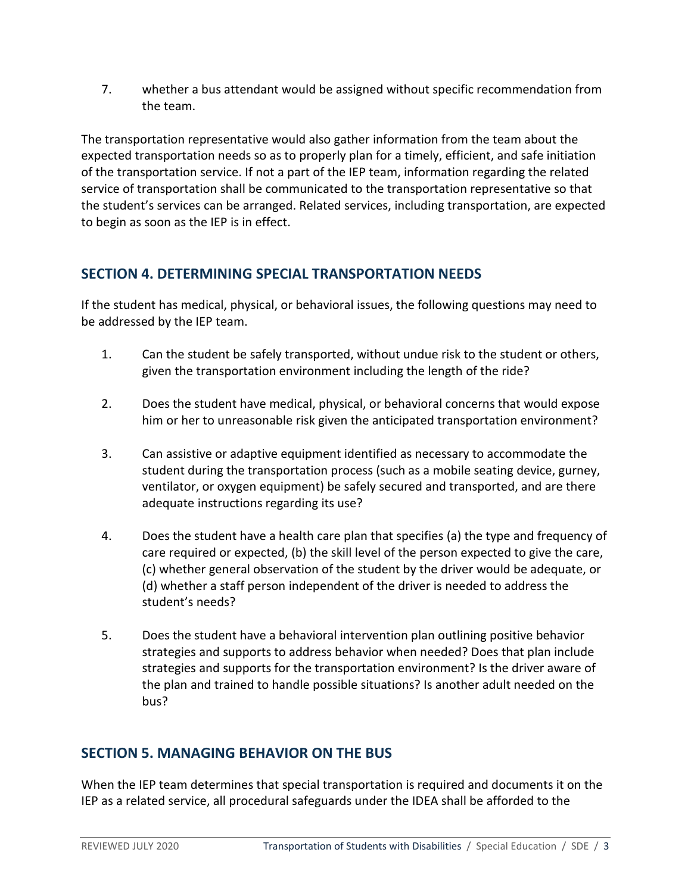7. whether a bus attendant would be assigned without specific recommendation from the team.

The transportation representative would also gather information from the team about the expected transportation needs so as to properly plan for a timely, efficient, and safe initiation of the transportation service. If not a part of the IEP team, information regarding the related service of transportation shall be communicated to the transportation representative so that the student's services can be arranged. Related services, including transportation, are expected to begin as soon as the IEP is in effect.

# **SECTION 4. DETERMINING SPECIAL TRANSPORTATION NEEDS**

If the student has medical, physical, or behavioral issues, the following questions may need to be addressed by the IEP team.

- 1. Can the student be safely transported, without undue risk to the student or others, given the transportation environment including the length of the ride?
- 2. Does the student have medical, physical, or behavioral concerns that would expose him or her to unreasonable risk given the anticipated transportation environment?
- 3. Can assistive or adaptive equipment identified as necessary to accommodate the student during the transportation process (such as a mobile seating device, gurney, ventilator, or oxygen equipment) be safely secured and transported, and are there adequate instructions regarding its use?
- 4. Does the student have a health care plan that specifies (a) the type and frequency of care required or expected, (b) the skill level of the person expected to give the care, (c) whether general observation of the student by the driver would be adequate, or (d) whether a staff person independent of the driver is needed to address the student's needs?
- 5. Does the student have a behavioral intervention plan outlining positive behavior strategies and supports to address behavior when needed? Does that plan include strategies and supports for the transportation environment? Is the driver aware of the plan and trained to handle possible situations? Is another adult needed on the bus?

## **SECTION 5. MANAGING BEHAVIOR ON THE BUS**

When the IEP team determines that special transportation is required and documents it on the IEP as a related service, all procedural safeguards under the IDEA shall be afforded to the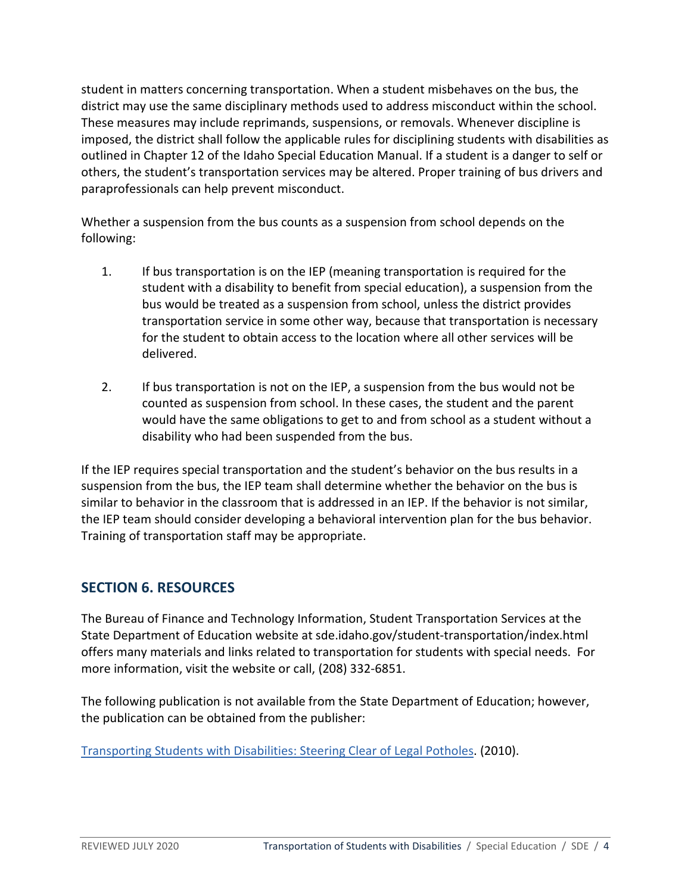student in matters concerning transportation. When a student misbehaves on the bus, the district may use the same disciplinary methods used to address misconduct within the school. These measures may include reprimands, suspensions, or removals. Whenever discipline is imposed, the district shall follow the applicable rules for disciplining students with disabilities as outlined in Chapter 12 of the Idaho Special Education Manual. If a student is a danger to self or others, the student's transportation services may be altered. Proper training of bus drivers and paraprofessionals can help prevent misconduct.

Whether a suspension from the bus counts as a suspension from school depends on the following:

- 1. If bus transportation is on the IEP (meaning transportation is required for the student with a disability to benefit from special education), a suspension from the bus would be treated as a suspension from school, unless the district provides transportation service in some other way, because that transportation is necessary for the student to obtain access to the location where all other services will be delivered.
- 2. If bus transportation is not on the IEP, a suspension from the bus would not be counted as suspension from school. In these cases, the student and the parent would have the same obligations to get to and from school as a student without a disability who had been suspended from the bus.

If the IEP requires special transportation and the student's behavior on the bus results in a suspension from the bus, the IEP team shall determine whether the behavior on the bus is similar to behavior in the classroom that is addressed in an IEP. If the behavior is not similar, the IEP team should consider developing a behavioral intervention plan for the bus behavior. Training of transportation staff may be appropriate.

## **SECTION 6. RESOURCES**

The Bureau of Finance and Technology Information, Student Transportation Services at the State Department of Education website at sde.idaho.gov/student-transportation/index.html offers many materials and links related to transportation for students with special needs. For more information, visit the website or call, (208) 332-6851.

The following publication is not available from the State Department of Education; however, the publication can be obtained from the publisher:

[Transporting Students with Disabilities: Steering Clear of Legal Potholes.](http://www.shoplrp.com/product_p/300214.htm) (2010).